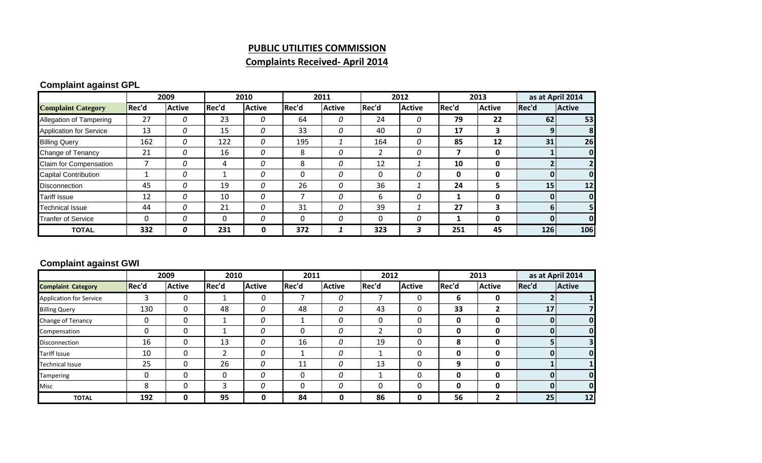#### **PUBLIC UTILITIES COMMISSION**

# **Complaints Received‐ April 2014**

# **Complaint against GPL**

|                                |       | 2009          |       | 2010          |          | 2011          |          | 2012          |       | 2013                    |       | as at April 2014 |  |
|--------------------------------|-------|---------------|-------|---------------|----------|---------------|----------|---------------|-------|-------------------------|-------|------------------|--|
| <b>Complaint Category</b>      | Rec'd | <b>Active</b> | Rec'd | <b>Active</b> | Rec'd    | <b>Active</b> | Rec'd    | <b>Active</b> | Rec'd | <b>Active</b>           | Rec'd | <b>Active</b>    |  |
| Allegation of Tampering        | 27    | 0             | 23    | 0             | 64       | 0             | 24       | 0             | 79    | 22                      | 62    | 53               |  |
| <b>Application for Service</b> | 13    | 0             | 15    | 0             | 33       | 0             | 40       | 0             | 17    | 3                       |       | 8                |  |
| <b>Billing Query</b>           | 162   | 0             | 122   | 0             | 195      |               | 164      | 0             | 85    | 12                      | 31    | 26               |  |
| Change of Tenancy              | 21    | 0             | 16    | 0             | 8        | 0             |          | 0             |       | 0                       |       | $\mathbf 0$      |  |
| Claim for Compensation         |       | 0             | 4     | 0             | 8        | 0             | 12       |               | 10    | 0                       |       |                  |  |
| <b>Capital Contribution</b>    |       | 0             |       | 0             | 0        | 0             |          | 0             | 0     | 0                       |       | 0                |  |
| <b>Disconnection</b>           | 45    | 0             | 19    | 0             | 26       | 0             | 36       |               | 24    | 5                       | 15    | 12               |  |
| <b>Tariff Issue</b>            | 12    | 0             | 10    | 0             |          | 0             | 6        | 0             |       | 0                       |       | $\mathbf 0$      |  |
| <b>Technical Issue</b>         | 44    | 0             | 21    | 0             | 31       | 0             | 39       |               | 27    | $\overline{\mathbf{3}}$ |       | 5                |  |
| <b>Tranfer of Service</b>      | 0     | 0             | 0     | 0             | $\Omega$ | $\Omega$      | $\Omega$ | 0             |       | 0                       | 0     | $\mathbf{0}$     |  |
| <b>TOTAL</b>                   | 332   | 0             | 231   | 0             | 372      |               | 323      | 3             | 251   | 45                      | 126   | 106              |  |

### **Complaint against GWI**

|                                |       | 2009          | 2010  |               | 2011  |               |       | 2012          |       | 2013          | as at April 2014 |               |
|--------------------------------|-------|---------------|-------|---------------|-------|---------------|-------|---------------|-------|---------------|------------------|---------------|
| <b>Complaint Category</b>      | Rec'd | <b>Active</b> | Rec'd | <b>Active</b> | Rec'd | <b>Active</b> | Rec'd | <b>Active</b> | Rec'd | <b>Active</b> | Rec'd            | <b>Active</b> |
| <b>Application for Service</b> | 3     | 0             |       | 0             |       | 0             |       | 0             | 6     | 0             |                  |               |
| <b>Billing Query</b>           | 130   | 0             | 48    | 0             | 48    | 0             | 43    |               | 33    | 2             | 17               |               |
| <b>Change of Tenancy</b>       | 0     | 0             |       | 0             |       | 0             | 0     |               | 0     | 0             |                  | $\mathbf{0}$  |
| Compensation                   | 0     | 0             |       | 0             | 0     | 0             |       |               | 0     | 0             |                  | $\mathbf{0}$  |
| <b>Disconnection</b>           | 16    | 0             | 13    | 0             | 16    | 0             | 19    |               | 8     | 0             |                  |               |
| <b>Tariff Issue</b>            | 10    | $\Omega$      |       | 0             |       | 0             |       |               | 0     | 0             |                  | $\mathbf 0$   |
| <b>Technical Issue</b>         | 25    | 0             | 26    | 0             | 11    | 0             | 13    | Ω             | 9     | 0             |                  |               |
| Tampering                      | 0     | $\Omega$      | 0     | 0             | 0     | 0             |       |               | 0     | 0             |                  | $\mathbf{0}$  |
| Misc                           | 8     |               | ว     | 0             | 0     | 0             |       |               | 0     | 0             |                  | 0             |
| <b>TOTAL</b>                   | 192   | 0             | 95    | 0             | 84    | 0             | 86    |               | 56    | 2             | 25               | 12            |